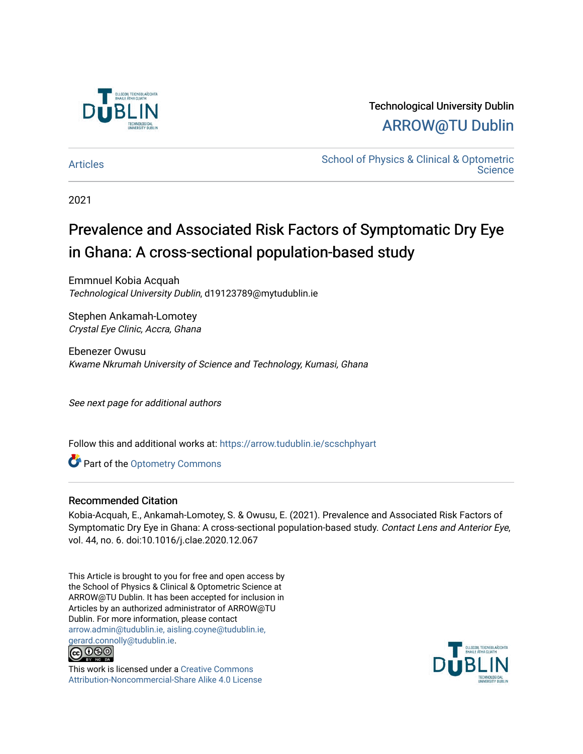

## Technological University Dublin [ARROW@TU Dublin](https://arrow.tudublin.ie/)

[Articles](https://arrow.tudublin.ie/scschphyart) **School of Physics & Clinical & Optometric Science** 

2021

# Prevalence and Associated Risk Factors of Symptomatic Dry Eye in Ghana: A cross-sectional population-based study

Emmnuel Kobia Acquah Technological University Dublin, d19123789@mytudublin.ie

Stephen Ankamah-Lomotey Crystal Eye Clinic, Accra, Ghana

Ebenezer Owusu Kwame Nkrumah University of Science and Technology, Kumasi, Ghana

See next page for additional authors

Follow this and additional works at: [https://arrow.tudublin.ie/scschphyart](https://arrow.tudublin.ie/scschphyart?utm_source=arrow.tudublin.ie%2Fscschphyart%2F159&utm_medium=PDF&utm_campaign=PDFCoverPages)

Part of the [Optometry Commons](http://network.bepress.com/hgg/discipline/730?utm_source=arrow.tudublin.ie%2Fscschphyart%2F159&utm_medium=PDF&utm_campaign=PDFCoverPages) 

## Recommended Citation

Kobia-Acquah, E., Ankamah-Lomotey, S. & Owusu, E. (2021). Prevalence and Associated Risk Factors of Symptomatic Dry Eye in Ghana: A cross-sectional population-based study. Contact Lens and Anterior Eye, vol. 44, no. 6. doi:10.1016/j.clae.2020.12.067

This Article is brought to you for free and open access by the School of Physics & Clinical & Optometric Science at ARROW@TU Dublin. It has been accepted for inclusion in Articles by an authorized administrator of ARROW@TU Dublin. For more information, please contact [arrow.admin@tudublin.ie, aisling.coyne@tudublin.ie,](mailto:arrow.admin@tudublin.ie,%20aisling.coyne@tudublin.ie,%20gerard.connolly@tudublin.ie)  [gerard.connolly@tudublin.ie](mailto:arrow.admin@tudublin.ie,%20aisling.coyne@tudublin.ie,%20gerard.connolly@tudublin.ie).



This work is licensed under a [Creative Commons](http://creativecommons.org/licenses/by-nc-sa/4.0/) [Attribution-Noncommercial-Share Alike 4.0 License](http://creativecommons.org/licenses/by-nc-sa/4.0/)

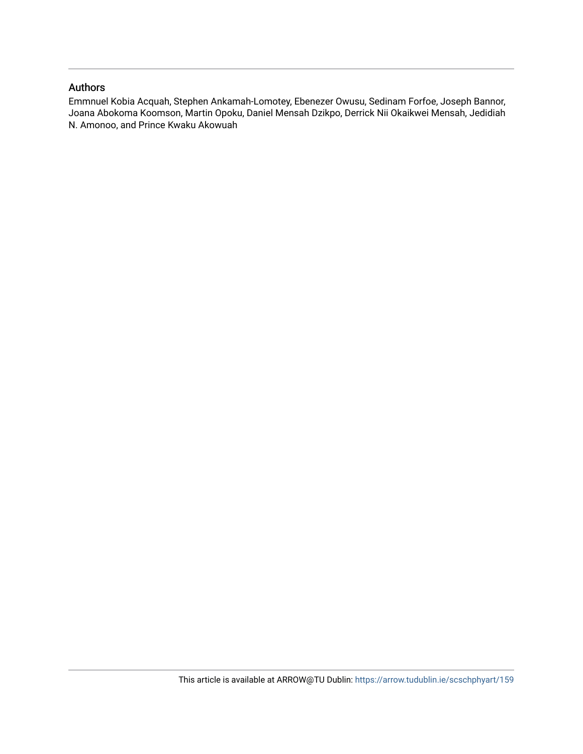## Authors

Emmnuel Kobia Acquah, Stephen Ankamah-Lomotey, Ebenezer Owusu, Sedinam Forfoe, Joseph Bannor, Joana Abokoma Koomson, Martin Opoku, Daniel Mensah Dzikpo, Derrick Nii Okaikwei Mensah, Jedidiah N. Amonoo, and Prince Kwaku Akowuah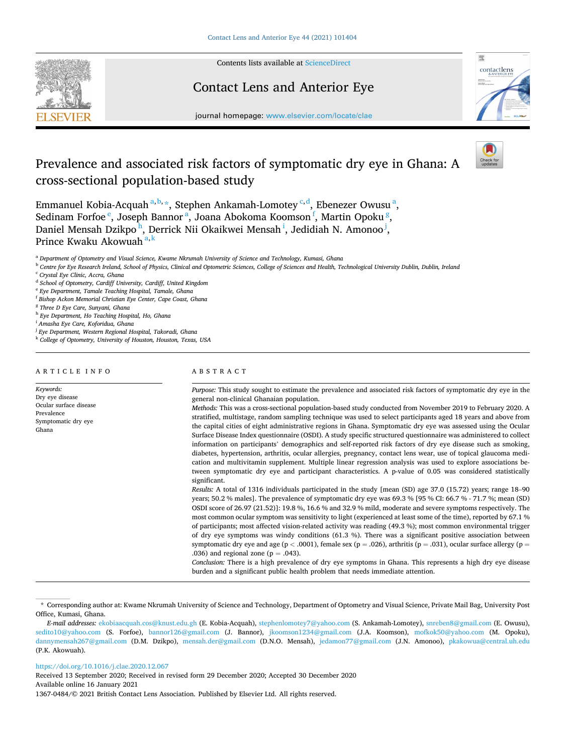

Contents lists available at [ScienceDirect](www.sciencedirect.com/science/journal/13670484)

## Contact Lens and Anterior Eye



journal homepage: [www.elsevier.com/locate/clae](https://www.elsevier.com/locate/clae) 

## Prevalence and associated risk factors of symptomatic dry eye in Ghana: A cross-sectional population-based study

Emmanuel Kobia-Acquah<sup>a, b,</sup> \*, Stephen Ankamah-Lomotey <sup>c, d</sup>, Ebenezer Owusu<sup>a</sup>, Sedinam Forfoe <sup>e</sup>, Joseph Bannor <sup>a</sup>, Joana Abokoma Koomson <sup>f</sup>, Martin Opoku <sup>g</sup>, Daniel Mensah Dzikpo<sup>h</sup>, Derrick Nii Okaikwei Mensah<sup>i</sup>, Jedidiah N. Amonoo<sup>j</sup>, Prince Kwaku Akowuah<sup>a, k</sup>

<sup>a</sup> *Department of Optometry and Visual Science, Kwame Nkrumah University of Science and Technology, Kumasi, Ghana* 

<sup>b</sup> *Centre for Eye Research Ireland, School of Physics, Clinical and Optometric Sciences, College of Sciences and Health, Technological University Dublin, Dublin, Ireland* 

<sup>c</sup> *Crystal Eye Clinic, Accra, Ghana* 

<sup>d</sup> *School of Optometry, Cardiff University, Cardiff, United Kingdom* 

<sup>e</sup> *Eye Department, Tamale Teaching Hospital, Tamale, Ghana* 

<sup>f</sup> *Bishop Ackon Memorial Christian Eye Center, Cape Coast, Ghana* 

<sup>g</sup> *Three D Eye Care, Sunyani, Ghana* 

<sup>h</sup> *Eye Department, Ho Teaching Hospital, Ho, Ghana* 

<sup>i</sup> *Amasha Eye Care, Koforidua, Ghana* 

<sup>j</sup> *Eye Department, Western Regional Hospital, Takoradi, Ghana* 

<sup>k</sup> *College of Optometry, University of Houston, Houston, Texas, USA* 

ARTICLE INFO

*Keywords:*  Dry eye disease Ocular surface disease Prevalence Symptomatic dry eye Ghana

#### ABSTRACT

*Purpose:* This study sought to estimate the prevalence and associated risk factors of symptomatic dry eye in the general non-clinical Ghanaian population.

*Methods:* This was a cross-sectional population-based study conducted from November 2019 to February 2020. A stratified, multistage, random sampling technique was used to select participants aged 18 years and above from the capital cities of eight administrative regions in Ghana. Symptomatic dry eye was assessed using the Ocular Surface Disease Index questionnaire (OSDI). A study specific structured questionnaire was administered to collect information on participants' demographics and self-reported risk factors of dry eye disease such as smoking, diabetes, hypertension, arthritis, ocular allergies, pregnancy, contact lens wear, use of topical glaucoma medication and multivitamin supplement. Multiple linear regression analysis was used to explore associations between symptomatic dry eye and participant characteristics. A p-value of 0.05 was considered statistically significant.

*Results:* A total of 1316 individuals participated in the study [mean (SD) age 37.0 (15.72) years; range 18–90 years; 50.2 % males]. The prevalence of symptomatic dry eye was 69.3 % [95 % CI: 66.7 % - 71.7 %; mean (SD) OSDI score of 26.97 (21.52)]: 19.8 %, 16.6 % and 32.9 % mild, moderate and severe symptoms respectively. The most common ocular symptom was sensitivity to light (experienced at least some of the time), reported by 67.1 % of participants; most affected vision-related activity was reading (49.3 %); most common environmental trigger of dry eye symptoms was windy conditions (61.3 %). There was a significant positive association between symptomatic dry eye and age ( $p < .0001$ ), female sex ( $p = .026$ ), arthritis ( $p = .031$ ), ocular surface allergy ( $p =$ .036) and regional zone ( $p = .043$ ).

*Conclusion:* There is a high prevalence of dry eye symptoms in Ghana. This represents a high dry eye disease burden and a significant public health problem that needs immediate attention.

<https://doi.org/10.1016/j.clae.2020.12.067>

Available online 16 January 2021 Received 13 September 2020; Received in revised form 29 December 2020; Accepted 30 December 2020

1367-0484/© 2021 British Contact Lens Association. Published by Elsevier Ltd. All rights reserved.

<sup>\*</sup> Corresponding author at: Kwame Nkrumah University of Science and Technology, Department of Optometry and Visual Science, Private Mail Bag, University Post Office, Kumasi, Ghana.

*E-mail addresses:* [ekobiaacquah.cos@knust.edu.gh](mailto:ekobiaacquah.cos@knust.edu.gh) (E. Kobia-Acquah), [stephenlomotey7@yahoo.com](mailto:stephenlomotey7@yahoo.com) (S. Ankamah-Lomotey), [snreben8@gmail.com](mailto:snreben8@gmail.com) (E. Owusu), [sedito10@yahoo.com](mailto:sedito10@yahoo.com) (S. Forfoe), [bannor126@gmail.com](mailto:bannor126@gmail.com) (J. Bannor), [jkoomson1234@gmail.com](mailto:jkoomson1234@gmail.com) (J.A. Koomson), [mofkok50@yahoo.com](mailto:mofkok50@yahoo.com) (M. Opoku), [dannymensah267@gmail.com](mailto:dannymensah267@gmail.com) (D.M. Dzikpo), [mensah.der@gmail.com](mailto:mensah.der@gmail.com) (D.N.O. Mensah), [jedamon77@gmail.com](mailto:jedamon77@gmail.com) (J.N. Amonoo), [pkakowua@central.uh.edu](mailto:pkakowua@central.uh.edu)  (P.K. Akowuah).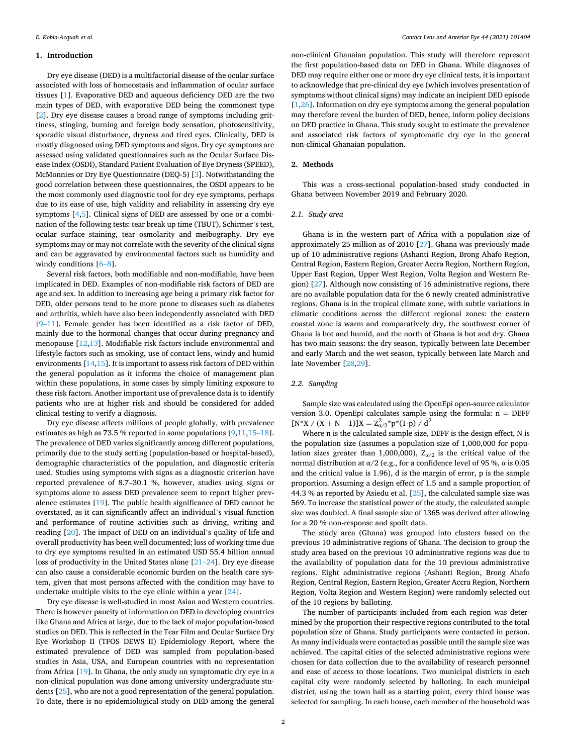#### **1. Introduction**

Dry eye disease (DED) is a multifactorial disease of the ocular surface associated with loss of homeostasis and inflammation of ocular surface tissues [[1](#page-7-0)]. Evaporative DED and aqueous deficiency DED are the two main types of DED, with evaporative DED being the commonest type [[2](#page-7-0)]. Dry eye disease causes a broad range of symptoms including grittiness, stinging, burning and foreign body sensation, photosensitivity, sporadic visual disturbance, dryness and tired eyes. Clinically, DED is mostly diagnosed using DED symptoms and signs. Dry eye symptoms are assessed using validated questionnaires such as the Ocular Surface Disease Index (OSDI), Standard Patient Evaluation of Eye Dryness (SPEED), McMonnies or Dry Eye Questionnaire (DEQ-5) [[3](#page-7-0)]. Notwithstanding the good correlation between these questionnaires, the OSDI appears to be the most commonly used diagnostic tool for dry eye symptoms, perhaps due to its ease of use, high validity and reliability in assessing dry eye symptoms [\[4,5](#page-8-0)]. Clinical signs of DED are assessed by one or a combination of the following tests: tear break up time (TBUT), Schirmer's test, ocular surface staining, tear osmolarity and meibography. Dry eye symptoms may or may not correlate with the severity of the clinical signs and can be aggravated by environmental factors such as humidity and windy conditions [\[6](#page-8-0)–8].

Several risk factors, both modifiable and non-modifiable, have been implicated in DED. Examples of non-modifiable risk factors of DED are age and sex. In addition to increasing age being a primary risk factor for DED, older persons tend to be more prone to diseases such as diabetes and arthritis, which have also been independently associated with DED [9–[11](#page-8-0)]. Female gender has been identified as a risk factor of DED, mainly due to the hormonal changes that occur during pregnancy and menopause [\[12,13](#page-8-0)]. Modifiable risk factors include environmental and lifestyle factors such as smoking, use of contact lens, windy and humid environments  $[14,15]$  $[14,15]$ . It is important to assess risk factors of DED within the general population as it informs the choice of management plan within these populations, in some cases by simply limiting exposure to these risk factors. Another important use of prevalence data is to identify patients who are at higher risk and should be considered for added clinical testing to verify a diagnosis.

Dry eye disease affects millions of people globally, with prevalence estimates as high as 73.5 % reported in some populations [\[9,11,15](#page-8-0)–18]. The prevalence of DED varies significantly among different populations, primarily due to the study setting (population-based or hospital-based), demographic characteristics of the population, and diagnostic criteria used. Studies using symptoms with signs as a diagnostic criterion have reported prevalence of 8.7–30.1 %, however, studies using signs or symptoms alone to assess DED prevalence seem to report higher prevalence estimates [\[19](#page-8-0)]. The public health significance of DED cannot be overstated, as it can significantly affect an individual's visual function and performance of routine activities such as driving, writing and reading [\[20](#page-8-0)]. The impact of DED on an individual's quality of life and overall productivity has been well documented; loss of working time due to dry eye symptoms resulted in an estimated USD 55.4 billion annual loss of productivity in the United States alone [\[21](#page-8-0)–24]. Dry eye disease can also cause a considerable economic burden on the health care system, given that most persons affected with the condition may have to undertake multiple visits to the eye clinic within a year [[24\]](#page-8-0).

Dry eye disease is well-studied in most Asian and Western countries. There is however paucity of information on DED in developing countries like Ghana and Africa at large, due to the lack of major population-based studies on DED. This is reflected in the Tear Film and Ocular Surface Dry Eye Workshop II (TFOS DEWS II) Epidemiology Report, where the estimated prevalence of DED was sampled from population-based studies in Asia, USA, and European countries with no representation from Africa [\[19](#page-8-0)]. In Ghana, the only study on symptomatic dry eye in a non-clinical population was done among university undergraduate students [[25\]](#page-8-0), who are not a good representation of the general population. To date, there is no epidemiological study on DED among the general

non-clinical Ghanaian population. This study will therefore represent the first population-based data on DED in Ghana. While diagnoses of DED may require either one or more dry eye clinical tests, it is important to acknowledge that pre-clinical dry eye (which involves presentation of symptoms without clinical signs) may indicate an incipient DED episode [[1](#page-7-0),[26\]](#page-8-0). Information on dry eye symptoms among the general population may therefore reveal the burden of DED, hence, inform policy decisions on DED practice in Ghana. This study sought to estimate the prevalence and associated risk factors of symptomatic dry eye in the general non-clinical Ghanaian population.

#### **2. Methods**

This was a cross-sectional population-based study conducted in Ghana between November 2019 and February 2020.

#### *2.1. Study area*

Ghana is in the western part of Africa with a population size of approximately 25 million as of 2010 [\[27](#page-8-0)]. Ghana was previously made up of 10 administrative regions (Ashanti Region, Brong Ahafo Region, Central Region, Eastern Region, Greater Accra Region, Northern Region, Upper East Region, Upper West Region, Volta Region and Western Region) [[27](#page-8-0)]. Although now consisting of 16 administrative regions, there are no available population data for the 6 newly created administrative regions. Ghana is in the tropical climate zone, with subtle variations in climatic conditions across the different regional zones: the eastern coastal zone is warm and comparatively dry, the southwest corner of Ghana is hot and humid, and the north of Ghana is hot and dry. Ghana has two main seasons: the dry season, typically between late December and early March and the wet season, typically between late March and late November [\[28,29](#page-8-0)].

#### *2.2. Sampling*

Sample size was calculated using the OpenEpi open-source calculator version 3.0. OpenEpi calculates sample using the formula:  $n = DEFF$  $[N^*X / (X + N - 1)]X = Z_{\alpha/2}^2 p^*(1-p) / d^2$ 

Where n is the calculated sample size, DEFF is the design effect, N is the population size (assumes a population size of 1,000,000 for population sizes greater than 1,000,000),  $Z_{\alpha/2}$  is the critical value of the normal distribution at α/2 (e.g., for a confidence level of 95 %, α is 0.05 and the critical value is 1.96), d is the margin of error, p is the sample proportion. Assuming a design effect of 1.5 and a sample proportion of 44.3 % as reported by Asiedu et al. [\[25](#page-8-0)], the calculated sample size was 569. To increase the statistical power of the study, the calculated sample size was doubled. A final sample size of 1365 was derived after allowing for a 20 % non-response and spoilt data.

The study area (Ghana) was grouped into clusters based on the previous 10 administrative regions of Ghana. The decision to group the study area based on the previous 10 administrative regions was due to the availability of population data for the 10 previous administrative regions. Eight administrative regions (Ashanti Region, Brong Ahafo Region, Central Region, Eastern Region, Greater Accra Region, Northern Region, Volta Region and Western Region) were randomly selected out of the 10 regions by balloting.

The number of participants included from each region was determined by the proportion their respective regions contributed to the total population size of Ghana. Study participants were contacted in person. As many individuals were contacted as possible until the sample size was achieved. The capital cities of the selected administrative regions were chosen for data collection due to the availability of research personnel and ease of access to those locations. Two municipal districts in each capital city were randomly selected by balloting. In each municipal district, using the town hall as a starting point, every third house was selected for sampling. In each house, each member of the household was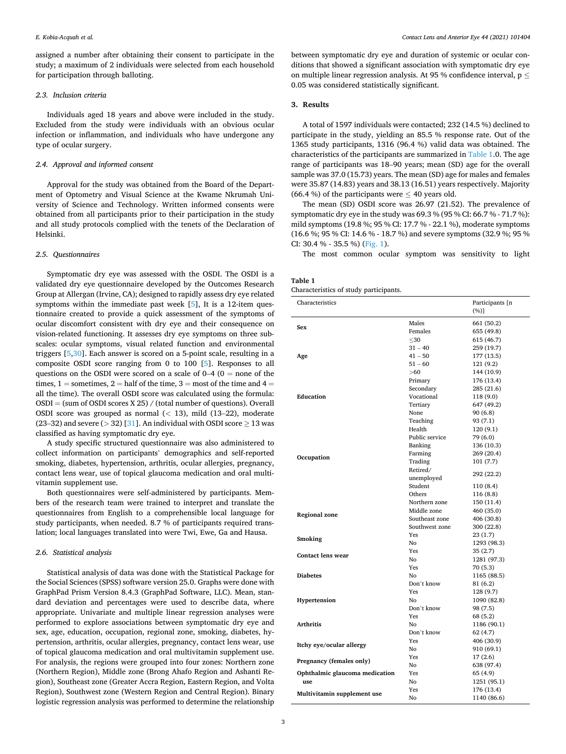assigned a number after obtaining their consent to participate in the study; a maximum of 2 individuals were selected from each household for participation through balloting.

#### *2.3. Inclusion criteria*

Individuals aged 18 years and above were included in the study. Excluded from the study were individuals with an obvious ocular infection or inflammation, and individuals who have undergone any type of ocular surgery.

#### *2.4. Approval and informed consent*

Approval for the study was obtained from the Board of the Department of Optometry and Visual Science at the Kwame Nkrumah University of Science and Technology. Written informed consents were obtained from all participants prior to their participation in the study and all study protocols complied with the tenets of the Declaration of Helsinki.

#### *2.5. Questionnaires*

Symptomatic dry eye was assessed with the OSDI. The OSDI is a validated dry eye questionnaire developed by the Outcomes Research Group at Allergan (Irvine, CA); designed to rapidly assess dry eye related symptoms within the immediate past week [[5](#page-8-0)], It is a 12-item questionnaire created to provide a quick assessment of the symptoms of ocular discomfort consistent with dry eye and their consequence on vision-related functioning. It assesses dry eye symptoms on three subscales: ocular symptoms, visual related function and environmental triggers [\[5,30\]](#page-8-0). Each answer is scored on a 5-point scale, resulting in a composite OSDI score ranging from 0 to 100 [[5](#page-8-0)]. Responses to all questions on the OSDI were scored on a scale of  $0-4$  ( $0 =$  none of the times,  $1 =$  sometimes,  $2 =$  half of the time,  $3 =$  most of the time and  $4 =$ all the time). The overall OSDI score was calculated using the formula: OSDI = (sum of OSDI scores X 25) / (total number of questions). Overall OSDI score was grouped as normal (*<* 13), mild (13–22), moderate (23–32) and severe ( $>$  32) [[31\]](#page-8-0). An individual with OSDI score  $\geq$  13 was classified as having symptomatic dry eye.

A study specific structured questionnaire was also administered to collect information on participants' demographics and self-reported smoking, diabetes, hypertension, arthritis, ocular allergies, pregnancy, contact lens wear, use of topical glaucoma medication and oral multivitamin supplement use.

Both questionnaires were self-administered by participants. Members of the research team were trained to interpret and translate the questionnaires from English to a comprehensible local language for study participants, when needed. 8.7 % of participants required translation; local languages translated into were Twi, Ewe, Ga and Hausa.

#### *2.6. Statistical analysis*

Statistical analysis of data was done with the Statistical Package for the Social Sciences (SPSS) software version 25.0. Graphs were done with GraphPad Prism Version 8.4.3 (GraphPad Software, LLC). Mean, standard deviation and percentages were used to describe data, where appropriate. Univariate and multiple linear regression analyses were performed to explore associations between symptomatic dry eye and sex, age, education, occupation, regional zone, smoking, diabetes, hypertension, arthritis, ocular allergies, pregnancy, contact lens wear, use of topical glaucoma medication and oral multivitamin supplement use. For analysis, the regions were grouped into four zones: Northern zone (Northern Region), Middle zone (Brong Ahafo Region and Ashanti Region), Southeast zone (Greater Accra Region, Eastern Region, and Volta Region), Southwest zone (Western Region and Central Region). Binary logistic regression analysis was performed to determine the relationship between symptomatic dry eye and duration of systemic or ocular conditions that showed a significant association with symptomatic dry eye on multiple linear regression analysis. At 95 % confidence interval,  $p \leq$ 0.05 was considered statistically significant.

#### **3. Results**

A total of 1597 individuals were contacted; 232 (14.5 %) declined to participate in the study, yielding an 85.5 % response rate. Out of the 1365 study participants, 1316 (96.4 %) valid data was obtained. The characteristics of the participants are summarized in Table 1.0. The age range of participants was 18–90 years; mean (SD) age for the overall sample was 37.0 (15.73) years. The mean (SD) age for males and females were 35.87 (14.83) years and 38.13 (16.51) years respectively. Majority (66.4 %) of the participants were  $\leq$  40 years old.

The mean (SD) OSDI score was 26.97 (21.52). The prevalence of symptomatic dry eye in the study was 69.3 % (95 % CI: 66.7 % - 71.7 %): mild symptoms (19.8 %; 95 % CI: 17.7 % - 22.1 %), moderate symptoms (16.6 %; 95 % CI: 14.6 % - 18.7 %) and severe symptoms (32.9 %; 95 % CI: 30.4 % - 35.5 %) [\(Fig. 1](#page-5-0)).

The most common ocular symptom was sensitivity to light

| Table 1                                |  |
|----------------------------------------|--|
| Characteristics of study participants. |  |

| Characteristics                |                | Participants [n<br>$(\%)]$ |
|--------------------------------|----------------|----------------------------|
|                                | Males          | 661 (50.2)                 |
| Sex                            | Females        | 655 (49.8)                 |
|                                | $\leq$ 30      | 615 (46.7)                 |
|                                | $31 - 40$      | 259 (19.7)                 |
| Age                            | $41 - 50$      | 177 (13.5)                 |
|                                | $51 - 60$      | 121 (9.2)                  |
|                                | >60            | 144 (10.9)                 |
|                                | Primary        | 176 (13.4)                 |
|                                | Secondary      | 285 (21.6)                 |
| Education                      | Vocational     | 118 (9.0)                  |
|                                | Tertiary       | 647 (49.2)                 |
|                                | None           | 90 (6.8)                   |
|                                | Teaching       | 93 (7.1)                   |
|                                | Health         | 120(9.1)                   |
|                                | Public service | 79 (6.0)                   |
|                                | Banking        | 136 (10.3)                 |
| Occupation                     | Farming        | 269 (20.4)                 |
|                                | Trading        | 101(7.7)                   |
|                                | Retired/       | 292 (22.2)                 |
|                                | unemployed     |                            |
|                                | Student        | 110 (8.4)                  |
|                                | Others         | 116 (8.8)                  |
|                                | Northern zone  | 150 (11.4)                 |
| <b>Regional zone</b>           | Middle zone    | 460 (35.0)                 |
|                                | Southeast zone | 406 (30.8)                 |
|                                | Southwest zone | 300 (22.8)                 |
| Smoking                        | Yes            | 23 (1.7)                   |
|                                | No             | 1293 (98.3)                |
| <b>Contact lens wear</b>       | Yes            | 35 (2.7)                   |
|                                | No             | 1281 (97.3)                |
|                                | Yes            | 70 (5.3)                   |
| <b>Diabetes</b>                | Nο             | 1165 (88.5)                |
|                                | Don't know     | 81 (6.2)                   |
|                                | Yes<br>No      | 128 (9.7)                  |
| Hypertension                   | Don't know     | 1090 (82.8)                |
|                                | Yes            | 98 (7.5)<br>68 (5.2)       |
| <b>Arthritis</b>               | No             | 1186 (90.1)                |
|                                | Don't know     | 62 (4.7)                   |
|                                | Yes            | 406 (30.9)                 |
| Itchy eye/ocular allergy       | No             | 910 (69.1)                 |
|                                | Yes            | 17(2.6)                    |
| Pregnancy (females only)       | No             | 638 (97.4)                 |
| Ophthalmic glaucoma medication | Yes            | 65 (4.9)                   |
| use                            | $_{\rm No}$    | 1251 (95.1)                |
|                                | Yes            | 176 (13.4)                 |
| Multivitamin supplement use    | No             | 1140 (86.6)                |
|                                |                |                            |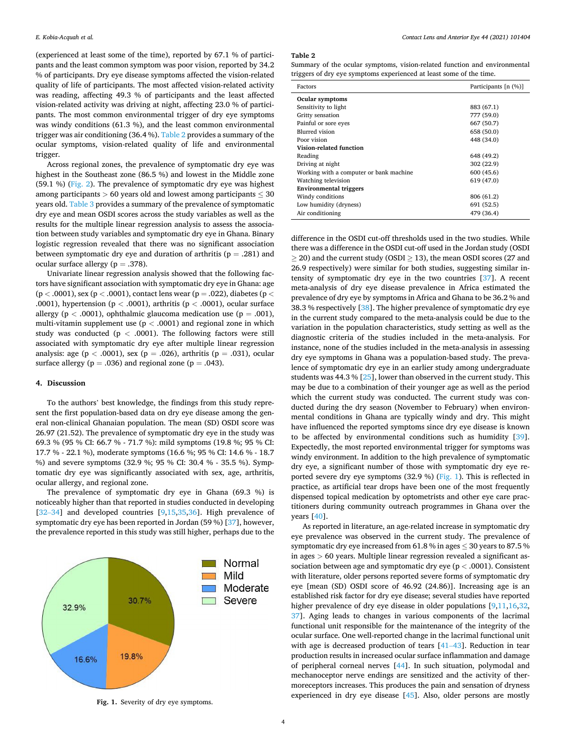<span id="page-5-0"></span>(experienced at least some of the time), reported by 67.1 % of participants and the least common symptom was poor vision, reported by 34.2 % of participants. Dry eye disease symptoms affected the vision-related quality of life of participants. The most affected vision-related activity was reading, affecting 49.3 % of participants and the least affected vision-related activity was driving at night, affecting 23.0 % of participants. The most common environmental trigger of dry eye symptoms was windy conditions (61.3 %), and the least common environmental trigger was air conditioning (36.4 %). Table 2 provides a summary of the ocular symptoms, vision-related quality of life and environmental trigger.

Across regional zones, the prevalence of symptomatic dry eye was highest in the Southeast zone (86.5 %) and lowest in the Middle zone (59.1 %) ([Fig. 2\)](#page-6-0). The prevalence of symptomatic dry eye was highest among participants  $> 60$  years old and lowest among participants  $\leq 30$ years old. [Table 3](#page-7-0) provides a summary of the prevalence of symptomatic dry eye and mean OSDI scores across the study variables as well as the results for the multiple linear regression analysis to assess the association between study variables and symptomatic dry eye in Ghana. Binary logistic regression revealed that there was no significant association between symptomatic dry eye and duration of arthritis ( $p = .281$ ) and ocular surface allergy ( $p = .378$ ).

Univariate linear regression analysis showed that the following factors have significant association with symptomatic dry eye in Ghana: age (p *<* .0001), sex (p *<* .0001), contact lens wear (p = .022), diabetes (p *<* .0001), hypertension (p *<* .0001), arthritis (p *<* .0001), ocular surface allergy ( $p < .0001$ ), ophthalmic glaucoma medication use ( $p = .001$ ), multi-vitamin supplement use (p *<* .0001) and regional zone in which study was conducted ( $p < .0001$ ). The following factors were still associated with symptomatic dry eye after multiple linear regression analysis: age (p *<* .0001), sex (p = .026), arthritis (p = .031), ocular surface allergy ( $p = .036$ ) and regional zone ( $p = .043$ ).

#### **4. Discussion**

To the authors' best knowledge, the findings from this study represent the first population-based data on dry eye disease among the general non-clinical Ghanaian population. The mean (SD) OSDI score was 26.97 (21.52). The prevalence of symptomatic dry eye in the study was 69.3 % (95 % CI: 66.7 % - 71.7 %): mild symptoms (19.8 %; 95 % CI: 17.7 % - 22.1 %), moderate symptoms (16.6 %; 95 % CI: 14.6 % - 18.7 %) and severe symptoms (32.9 %; 95 % CI: 30.4 % - 35.5 %). Symptomatic dry eye was significantly associated with sex, age, arthritis, ocular allergy, and regional zone.

The prevalence of symptomatic dry eye in Ghana (69.3 %) is noticeably higher than that reported in studies conducted in developing  $[32-34]$  $[32-34]$  and developed countries  $[9,15,35,36]$  $[9,15,35,36]$ . High prevalence of symptomatic dry eye has been reported in Jordan (59 %) [[37\]](#page-8-0), however, the prevalence reported in this study was still higher, perhaps due to the



**Table 2** 

Summary of the ocular symptoms, vision-related function and environmental triggers of dry eye symptoms experienced at least some of the time.

| Factors                                  | Participants [n (%)] |
|------------------------------------------|----------------------|
| Ocular symptoms                          |                      |
| Sensitivity to light                     | 883 (67.1)           |
| Gritty sensation                         | 777 (59.0)           |
| Painful or sore eyes                     | 667 (50.7)           |
| <b>Blurred</b> vision                    | 658 (50.0)           |
| Poor vision                              | 448 (34.0)           |
| Vision-related function                  |                      |
| Reading                                  | 648 (49.2)           |
| Driving at night                         | 302 (22.9)           |
| Working with a computer or bank machine. | 600 (45.6)           |
| Watching television                      | 619 (47.0)           |
| <b>Environmental triggers</b>            |                      |
| Windy conditions                         | 806 (61.2)           |
| Low humidity (dryness)                   | 691 (52.5)           |
| Air conditioning                         | 479 (36.4)           |

difference in the OSDI cut-off thresholds used in the two studies. While there was a difference in the OSDI cut-off used in the Jordan study (OSDI  $\geq$  20) and the current study (OSDI  $\geq$  13), the mean OSDI scores (27 and 26.9 respectively) were similar for both studies, suggesting similar intensity of symptomatic dry eye in the two countries [\[37](#page-8-0)]. A recent meta-analysis of dry eye disease prevalence in Africa estimated the prevalence of dry eye by symptoms in Africa and Ghana to be 36.2 % and 38.3 % respectively [\[38](#page-8-0)]. The higher prevalence of symptomatic dry eye in the current study compared to the meta-analysis could be due to the variation in the population characteristics, study setting as well as the diagnostic criteria of the studies included in the meta-analysis. For instance, none of the studies included in the meta-analysis in assessing dry eye symptoms in Ghana was a population-based study. The prevalence of symptomatic dry eye in an earlier study among undergraduate students was 44.3 % [\[25\]](#page-8-0), lower than observed in the current study. This may be due to a combination of their younger age as well as the period which the current study was conducted. The current study was conducted during the dry season (November to February) when environmental conditions in Ghana are typically windy and dry. This might have influenced the reported symptoms since dry eye disease is known to be affected by environmental conditions such as humidity [\[39](#page-8-0)]. Expectedly, the most reported environmental trigger for symptoms was windy environment. In addition to the high prevalence of symptomatic dry eye, a significant number of those with symptomatic dry eye reported severe dry eye symptoms (32.9 %) (Fig. 1). This is reflected in practice, as artificial tear drops have been one of the most frequently dispensed topical medication by optometrists and other eye care practitioners during community outreach programmes in Ghana over the years [[40\]](#page-8-0).

As reported in literature, an age-related increase in symptomatic dry eye prevalence was observed in the current study. The prevalence of symptomatic dry eye increased from 61.8 % in ages  $\leq$  30 years to 87.5 % in ages *>* 60 years. Multiple linear regression revealed a significant association between age and symptomatic dry eye (p *<* .0001). Consistent with literature, older persons reported severe forms of symptomatic dry eye [mean (SD) OSDI score of 46.92 (24.86)]. Increasing age is an established risk factor for dry eye disease; several studies have reported higher prevalence of dry eye disease in older populations [\[9,11,16,32](#page-8-0), [37\]](#page-8-0). Aging leads to changes in various components of the lacrimal functional unit responsible for the maintenance of the integrity of the ocular surface. One well-reported change in the lacrimal functional unit with age is decreased production of tears  $[41-43]$  $[41-43]$ . Reduction in tear production results in increased ocular surface inflammation and damage of peripheral corneal nerves [\[44](#page-8-0)]. In such situation, polymodal and mechanoceptor nerve endings are sensitized and the activity of thermoreceptors increases. This produces the pain and sensation of dryness experienced in dry eye disease [\[45](#page-8-0)]. Also, older persons are mostly **Fig. 1.** Severity of dry eye symptoms.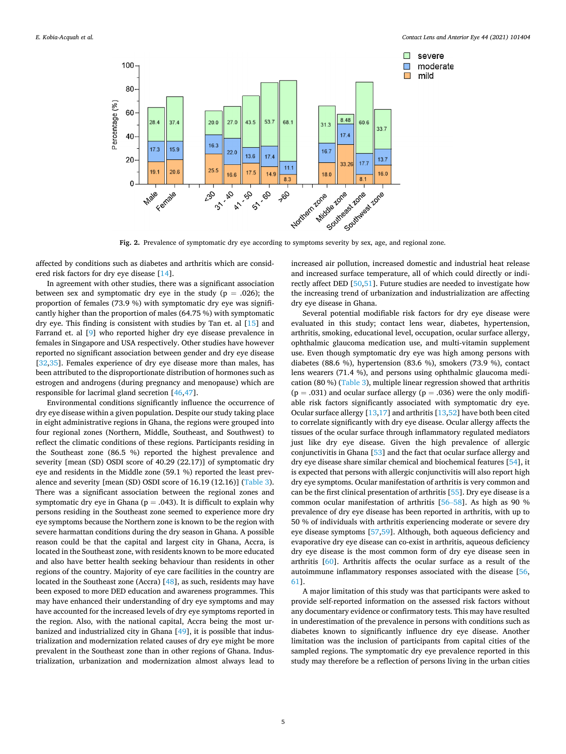<span id="page-6-0"></span>

**Fig. 2.** Prevalence of symptomatic dry eye according to symptoms severity by sex, age, and regional zone.

affected by conditions such as diabetes and arthritis which are considered risk factors for dry eye disease [[14\]](#page-8-0).

In agreement with other studies, there was a significant association between sex and symptomatic dry eye in the study ( $p = .026$ ); the proportion of females (73.9 %) with symptomatic dry eye was significantly higher than the proportion of males (64.75 %) with symptomatic dry eye. This finding is consistent with studies by Tan et. al [\[15](#page-8-0)] and Farrand et. al [\[9\]](#page-8-0) who reported higher dry eye disease prevalence in females in Singapore and USA respectively. Other studies have however reported no significant association between gender and dry eye disease [[32,35](#page-8-0)]. Females experience of dry eye disease more than males, has been attributed to the disproportionate distribution of hormones such as estrogen and androgens (during pregnancy and menopause) which are responsible for lacrimal gland secretion [\[46,47](#page-8-0)].

Environmental conditions significantly influence the occurrence of dry eye disease within a given population. Despite our study taking place in eight administrative regions in Ghana, the regions were grouped into four regional zones (Northern, Middle, Southeast, and Southwest) to reflect the climatic conditions of these regions. Participants residing in the Southeast zone (86.5 %) reported the highest prevalence and severity [mean (SD) OSDI score of 40.29 (22.17)] of symptomatic dry eye and residents in the Middle zone (59.1 %) reported the least prevalence and severity [mean (SD) OSDI score of 16.19 (12.16)] [\(Table 3](#page-7-0)). There was a significant association between the regional zones and symptomatic dry eye in Ghana ( $p = .043$ ). It is difficult to explain why persons residing in the Southeast zone seemed to experience more dry eye symptoms because the Northern zone is known to be the region with severe harmattan conditions during the dry season in Ghana. A possible reason could be that the capital and largest city in Ghana, Accra, is located in the Southeast zone, with residents known to be more educated and also have better health seeking behaviour than residents in other regions of the country. Majority of eye care facilities in the country are located in the Southeast zone (Accra) [\[48](#page-8-0)], as such, residents may have been exposed to more DED education and awareness programmes. This may have enhanced their understanding of dry eye symptoms and may have accounted for the increased levels of dry eye symptoms reported in the region. Also, with the national capital, Accra being the most urbanized and industrialized city in Ghana [\[49](#page-8-0)], it is possible that industrialization and modernization related causes of dry eye might be more prevalent in the Southeast zone than in other regions of Ghana. Industrialization, urbanization and modernization almost always lead to

increased air pollution, increased domestic and industrial heat release and increased surface temperature, all of which could directly or indirectly affect DED [\[50,51](#page-8-0)]. Future studies are needed to investigate how the increasing trend of urbanization and industrialization are affecting dry eye disease in Ghana.

Several potential modifiable risk factors for dry eye disease were evaluated in this study; contact lens wear, diabetes, hypertension, arthritis, smoking, educational level, occupation, ocular surface allergy, ophthalmic glaucoma medication use, and multi-vitamin supplement use. Even though symptomatic dry eye was high among persons with diabetes (88.6 %), hypertension (83.6 %), smokers (73.9 %), contact lens wearers (71.4 %), and persons using ophthalmic glaucoma medication (80 %) [\(Table 3](#page-7-0)), multiple linear regression showed that arthritis  $(p = .031)$  and ocular surface allergy  $(p = .036)$  were the only modifiable risk factors significantly associated with symptomatic dry eye. Ocular surface allergy [[13,17\]](#page-8-0) and arthritis [[13,52](#page-8-0)] have both been cited to correlate significantly with dry eye disease. Ocular allergy affects the tissues of the ocular surface through inflammatory regulated mediators just like dry eye disease. Given the high prevalence of allergic conjunctivitis in Ghana [\[53](#page-8-0)] and the fact that ocular surface allergy and dry eye disease share similar chemical and biochemical features [[54\]](#page-8-0), it is expected that persons with allergic conjunctivitis will also report high dry eye symptoms. Ocular manifestation of arthritis is very common and can be the first clinical presentation of arthritis [[55\]](#page-8-0). Dry eye disease is a common ocular manifestation of arthritis [\[56](#page-8-0)–58]. As high as 90 % prevalence of dry eye disease has been reported in arthritis, with up to 50 % of individuals with arthritis experiencing moderate or severe dry eye disease symptoms [\[57](#page-8-0),[59\]](#page-8-0). Although, both aqueous deficiency and evaporative dry eye disease can co-exist in arthritis, aqueous deficiency dry eye disease is the most common form of dry eye disease seen in arthritis [\[60](#page-9-0)]. Arthritis affects the ocular surface as a result of the autoimmune inflammatory responses associated with the disease [\[56](#page-8-0), [61\]](#page-9-0).

A major limitation of this study was that participants were asked to provide self-reported information on the assessed risk factors without any documentary evidence or confirmatory tests. This may have resulted in underestimation of the prevalence in persons with conditions such as diabetes known to significantly influence dry eye disease. Another limitation was the inclusion of participants from capital cities of the sampled regions. The symptomatic dry eye prevalence reported in this study may therefore be a reflection of persons living in the urban cities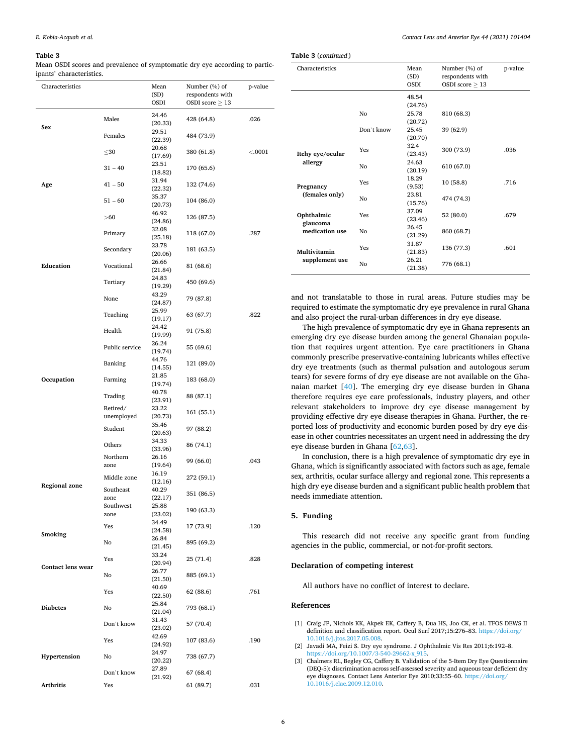#### <span id="page-7-0"></span>**Table 3**

Mean OSDI scores and prevalence of symptomatic dry eye according to participants' characteristics.

| Characteristics      |                          | Mean                      | Number (%) of          | p-value |
|----------------------|--------------------------|---------------------------|------------------------|---------|
|                      |                          | (SD)                      | respondents with       |         |
|                      |                          | OSDI                      | OSDI score $\geq 13$   |         |
| Sex                  | Males                    | 24.46<br>(20.33)          | 428 (64.8)             | .026    |
|                      | Females                  | 29.51<br>(22.39)          | 484 (73.9)             |         |
|                      | $\leq$ 30                | 20.68<br>(17.69)          | 380 (61.8)             | < .0001 |
|                      | $31 - 40$                | 23.51<br>(18.82)          | 170 (65.6)             |         |
| Age                  | $41 - 50$                | 31.94<br>(22.32)          | 132 (74.6)             |         |
|                      | $51 - 60$                | 35.37<br>(20.73)          | 104 (86.0)             |         |
|                      | > 60                     | 46.92<br>(24.86)          | 126 (87.5)             |         |
|                      | Primary                  | 32.08<br>(25.18)<br>23.78 | 118 (67.0)             | .287    |
|                      | Secondary                | (20.06)<br>26.66          | 181 (63.5)             |         |
| Education            | Vocational               | (21.84)<br>24.83          | 81 (68.6)              |         |
|                      | Tertiary                 | (19.29)<br>43.29          | 450 (69.6)             |         |
|                      | None                     | (24.87)<br>25.99          | 79 (87.8)              |         |
|                      | Teaching                 | (19.17)<br>24.42          | 63 (67.7)              | .822    |
|                      | Health                   | (19.99)<br>26.24          | 91 (75.8)              |         |
|                      | Public service           | (19.74)<br>44.76          | 55 (69.6)              |         |
|                      | Banking                  | (14.55)<br>21.85          | 121 (89.0)             |         |
| Occupation           | Farming                  | (19.74)<br>40.78          | 183 (68.0)             |         |
|                      | Trading<br>Retired/      | (23.91)<br>23.22          | 88 (87.1)              |         |
|                      | unemployed               | (20.73)<br>35.46          | 161 (55.1)             |         |
|                      | Student                  | (20.63)<br>34.33          | 97 (88.2)              |         |
|                      | Others<br>Northern       | (33.96)<br>26.16          | 86 (74.1)              |         |
|                      | zone                     | (19.64)<br>16.19          | 99 (66.0)              | .043    |
| <b>Regional zone</b> | Middle zone<br>Southeast | (12.16)<br>40.29          | 272 (59.1)             |         |
|                      | zone<br>Southwest        | (22.17)<br>25.88          | 351 (86.5)             |         |
|                      | zone                     | (23.02)<br>34.49          | 190 (63.3)             |         |
| Smoking              | Yes                      | (24.58)<br>26.84          | 17 (73.9)              | .120    |
|                      | No                       | (21.45)<br>33.24          | 895 (69.2)             |         |
| Contact lens wear    | Yes                      | (20.94)<br>26.77          | 25 (71.4)              | .828    |
|                      | No                       | (21.50)<br>40.69          | 885 (69.1)             |         |
|                      | Yes                      | (22.50)<br>25.84          | 62 (88.6)              | .761    |
| <b>Diabetes</b>      | No                       | (21.04)<br>31.43          | 793 (68.1)             |         |
|                      | Don't know               | (23.02)<br>42.69          | 57 (70.4)              |         |
|                      | Yes                      | (24.92)<br>24.97          | 107 (83.6)             | .190    |
| Hypertension         | No                       | (20.22)<br>27.89          | 738 (67.7)             |         |
| Arthritis            | Don't know<br>Yes        | (21.92)                   | 67 (68.4)<br>61 (89.7) | .031    |
|                      |                          |                           |                        |         |

| Contact Lens and Anterior Eye 44 (2021) 101404 |
|------------------------------------------------|
|                                                |
|                                                |

| Characteristics                |            | Mean<br>(SD)<br><b>OSDI</b> | Number (%) of<br>respondents with<br>OSDI score $\geq 13$ | p-value |
|--------------------------------|------------|-----------------------------|-----------------------------------------------------------|---------|
|                                |            | 48.54<br>(24.76)            |                                                           |         |
|                                | No         | 25.78<br>(20.72)            | 810 (68.3)                                                |         |
|                                | Don't know | 25.45<br>(20.70)            | 39 (62.9)                                                 |         |
| Itchy eye/ocular<br>allergy    | Yes        | 32.4<br>(23.43)             | 300 (73.9)                                                | .036    |
|                                | No         | 24.63<br>(20.19)            | 610 (67.0)                                                |         |
| Pregnancy<br>(females only)    | Yes        | 18.29<br>(9.53)             | 10(58.8)                                                  | .716    |
|                                | No         | 23.81<br>(15.76)            | 474 (74.3)                                                |         |
| Ophthalmic                     | <b>Yes</b> | 37.09<br>(23.46)            | 52 (80.0)                                                 | .679    |
| glaucoma<br>medication use     | No         | 26.45<br>(21.29)            | 860 (68.7)                                                |         |
| Multivitamin<br>supplement use | <b>Yes</b> | 31.87<br>(21.83)            | 136 (77.3)                                                | .601    |
|                                | No         | 26.21<br>(21.38)            | 776 (68.1)                                                |         |

and not translatable to those in rural areas. Future studies may be required to estimate the symptomatic dry eye prevalence in rural Ghana and also project the rural-urban differences in dry eye disease.

The high prevalence of symptomatic dry eye in Ghana represents an emerging dry eye disease burden among the general Ghanaian population that requires urgent attention. Eye care practitioners in Ghana commonly prescribe preservative-containing lubricants whiles effective dry eye treatments (such as thermal pulsation and autologous serum tears) for severe forms of dry eye disease are not available on the Ghanaian market [\[40](#page-8-0)]. The emerging dry eye disease burden in Ghana therefore requires eye care professionals, industry players, and other relevant stakeholders to improve dry eye disease management by providing effective dry eye disease therapies in Ghana. Further, the reported loss of productivity and economic burden posed by dry eye disease in other countries necessitates an urgent need in addressing the dry eye disease burden in Ghana [[62,63\]](#page-9-0).

In conclusion, there is a high prevalence of symptomatic dry eye in Ghana, which is significantly associated with factors such as age, female sex, arthritis, ocular surface allergy and regional zone. This represents a high dry eye disease burden and a significant public health problem that needs immediate attention.

#### **5. Funding**

**Table 3** (*continued* )

This research did not receive any specific grant from funding agencies in the public, commercial, or not-for-profit sectors.

### **Declaration of competing interest**

All authors have no conflict of interest to declare.

#### **References**

- [1] Craig JP, Nichols KK, Akpek EK, Caffery B, Dua HS, Joo CK, et al. TFOS DEWS II definition and classification report. Ocul Surf 2017;15:276–83. [https://doi.org/](https://doi.org/10.1016/j.jtos.2017.05.008) [10.1016/j.jtos.2017.05.008.](https://doi.org/10.1016/j.jtos.2017.05.008)
- [2] Javadi MA, Feizi S. Dry eye syndrome. J Ophthalmic Vis Res 2011;6:192–8. [https://doi.org/10.1007/3-540-29662-x\\_915](https://doi.org/10.1007/3-540-29662-x_915).
- [3] Chalmers RL, Begley CG, Caffery B. Validation of the 5-Item Dry Eye Questionnaire (DEQ-5): discrimination across self-assessed severity and aqueous tear deficient dry eye diagnoses. Contact Lens Anterior Eye 2010;33:55–60. [https://doi.org/](https://doi.org/10.1016/j.clae.2009.12.010)  [10.1016/j.clae.2009.12.010.](https://doi.org/10.1016/j.clae.2009.12.010)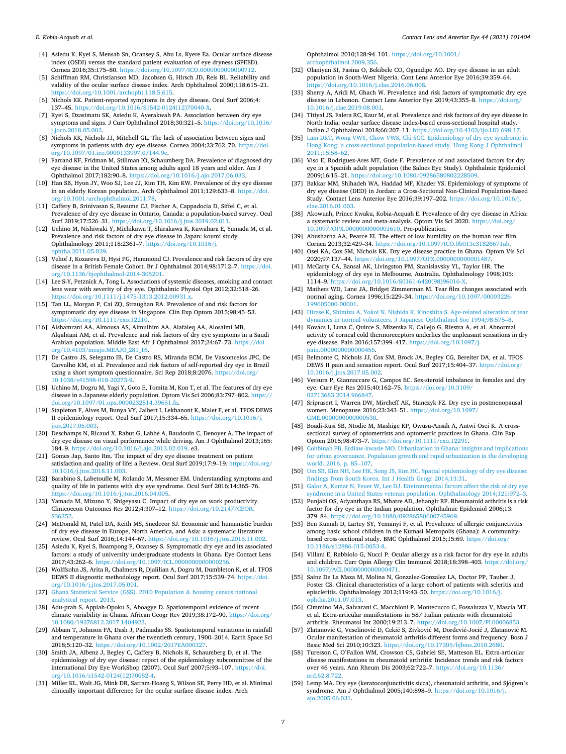- <span id="page-8-0"></span>[4] Asiedu K, Kyei S, Mensah Sn, Ocansey S, Abu Ls, Kyere Ea. Ocular surface disease index (OSDI) versus the standard patient evaluation of eye dryness (SPEED). Cornea 2016;35:175–80. [https://doi.org/10.1097/ICO.0000000000000712.](https://doi.org/10.1097/ICO.0000000000000712)
- [5] Schiffman RM, Christianson MD, Jacobsen G, Hirsch JD, Reis BL. Reliability and validity of the ocular surface disease index. Arch Ophthalmol 2000;118:615–21. <https://doi.org/10.1001/archopht.118.5.615>.
- [6] Nichols KK. Patient-reported symptoms in dry dye disease. Ocul Surf 2006;4: 137–45. [https://doi.org/10.1016/S1542-0124\(12\)70040-X.](https://doi.org/10.1016/S1542-0124(12)70040-X)
- [7] Kyei S, Dzasimatu SK, Asiedu K, Ayerakwah PA. Association between dry eye symptoms and signs. J Curr Ophthalmol 2018;30:321–5. [https://doi.org/10.1016/](https://doi.org/10.1016/j.joco.2018.05.002)  [j.joco.2018.05.002](https://doi.org/10.1016/j.joco.2018.05.002).
- [8] Nichols KK, Nichols JJ, Mitchell GL. The lack of association between signs and symptoms in patients with dry eye disease. Cornea 2004;23:762–70. [https://doi.](https://doi.org/10.1097/01.ico.0000133997.07144.9e) [org/10.1097/01.ico.0000133997.07144.9e](https://doi.org/10.1097/01.ico.0000133997.07144.9e).
- [9] Farrand KF, Fridman M, Stillman IÖ, Schaumberg DA. Prevalence of diagnosed dry eye disease in the United States among adults aged 18 years and older. Am J Ophthalmol 2017;182:90–8. [https://doi.org/10.1016/j.ajo.2017.06.033.](https://doi.org/10.1016/j.ajo.2017.06.033)
- [10] Han SB, Hyon JY, Woo SJ, Lee JJ, Kim TH, Kim KW. Prevalence of dry eye disease in an elderly Korean population. Arch Ophthalmol 2011;129:633–8. [https://doi.](https://doi.org/10.1001/archophthalmol.2011.78) [org/10.1001/archophthalmol.2011.78.](https://doi.org/10.1001/archophthalmol.2011.78)
- [11] Caffery B, Srinivasan S, Reaume CJ, Fischer A, Cappadocia D, Siffel C, et al. Prevalence of dry eye disease in Ontario, Canada: a population-based survey. Ocul Surf 2019;17:526–31. <https://doi.org/10.1016/j.jtos.2019.02.011>.
- [12] Uchino M, Nishiwaki Y, Michikawa T, Shirakawa K, Kuwahara E, Yamada M, et al. Prevalence and risk factors of dry eye disease in Japan: koumi study. Ophthalmology 2011;118:2361–7. [https://doi.org/10.1016/j.](https://doi.org/10.1016/j.ophtha.2011.05.029) opha.2011.05.029
- [13] Vehof J, Kozareva D, Hysi PG, Hammond CJ. Prevalence and risk factors of dry eye disease in a British Female Cohort. Br J Ophthalmol 2014;98:1712–7. [https://doi.](https://doi.org/10.1136/bjophthalmol-2014-305201)  [org/10.1136/bjophthalmol-2014-305201.](https://doi.org/10.1136/bjophthalmol-2014-305201)
- [14] Lee S-Y, Petznick A, Tong L. Associations of systemic diseases, smoking and contact lens wear with severity of dry eye. Ophthalmic Physiol Opt 2012;32:518–26. <https://doi.org/10.1111/j.1475-1313.2012.00931.x>.
- [15] Tan LL, Morgan P, Cai ZQ, Straughan RA. Prevalence of and risk factors for symptomatic dry eye disease in Singapore. Clin Exp Optom 2015;98:45–53. <https://doi.org/10.1111/cxo.12210>.
- [16] Alshamrani AA, Almousa AS, Almulhim AA, Alafaleq AA, Alosaimi MB, Alqahtani AM, et al. Prevalence and risk factors of dry eye symptoms in a Saudi Arabian population. Middle East Afr J Ophthalmol 2017;24:67–73. [https://doi.](https://doi.org/10.4103/meajo.MEAJO_281_16) [org/10.4103/meajo.MEAJO\\_281\\_16.](https://doi.org/10.4103/meajo.MEAJO_281_16)
- [17] De Castro JS, Selegatto IB, De Castro RS, Miranda ECM, De Vasconcelos JPC, De Carvalho KM, et al. Prevalence and risk factors of self-reported dry eye in Brazil using a short symptom questionnaire. Sci Rep 2018;8:2076. [https://doi.org/](https://doi.org/10.1038/s41598-018-20273-9)  [10.1038/s41598-018-20273-9.](https://doi.org/10.1038/s41598-018-20273-9)
- [18] Uchino M, Dogru M, Yagi Y, Goto E, Tomita M, Kon T, et al. The features of dry eye disease in a Japanese elderly population. Optom Vis Sci 2006;83:797–802. [https://](https://doi.org/10.1097/01.opx.0000232814.39651.fa)  [doi.org/10.1097/01.opx.0000232814.39651.fa.](https://doi.org/10.1097/01.opx.0000232814.39651.fa)
- [19] Stapleton F, Alves M, Bunya VY, Jalbert I, Lekhanont K, Malet F, et al. TFOS DEWS II epidemiology report. Ocul Surf 2017;15:334–65. [https://doi.org/10.1016/j.](https://doi.org/10.1016/j.jtos.2017.05.003)  [jtos.2017.05.003.](https://doi.org/10.1016/j.jtos.2017.05.003)
- [20] Deschamps N, Ricaud X, Rabut G, Labbé A, Baudouin C, Denoyer A, The impact of dry eye disease on visual performance while driving. Am J Ophthalmol 2013;165: 184–9. <https://doi.org/10.1016/j.ajo.2013.02.019>. e3.
- [21] Gomes Jap, Santo Rm. The impact of dry eye disease treatment on patient satisfaction and quality of life: a Review. Ocul Surf 2019;17:9–19. [https://doi.org/](https://doi.org/10.1016/j.jtos.2018.11.003)  [10.1016/j.jtos.2018.11.003.](https://doi.org/10.1016/j.jtos.2018.11.003)
- [22] Barabino S, Labetoulle M, Rolando M, Messmer EM. Understanding symptoms and quality of life in patients with dry eye syndrome. Ocul Surf 2016;14:365–76. <https://doi.org/10.1016/j.jtos.2016.04.005>.
- [23] Yamada M, Mizuno Y, Shigeyasu C. Impact of dry eye on work productivity. Clinicoecon Outcomes Res 2012;4:307–12. [https://doi.org/10.2147/CEOR.](https://doi.org/10.2147/CEOR.S36352)  [S36352](https://doi.org/10.2147/CEOR.S36352).
- [24] McDonald M, Patel DA, Keith MS, Snedecor SJ. Economic and humanistic burden of dry eye disease in Europe, North America, and Asia: a systematic literature review. Ocul Surf 2016;14:144–67. <https://doi.org/10.1016/j.jtos.2015.11.002>.
- [25] Asiedu K, Kyei S, Boampong F, Ocansey S. Symptomatic dry eye and its associated factors: a study of university undergraduate students in Ghana. Eye Contact Lens 2017;43:262–6. <https://doi.org/10.1097/ICL.0000000000000256>.
- [26] Wolffsohn JS, Arita R, Chalmers R, Djalilian A, Dogru M, Dumbleton K, et al. TFOS DEWS II diagnostic methodology report. Ocul Surf 2017;15:539–74. [https://doi.](https://doi.org/10.1016/j.jtos.2017.05.001) [org/10.1016/j.jtos.2017.05.001](https://doi.org/10.1016/j.jtos.2017.05.001).
- [27] [Ghana Statistical Service \(GSS\). 2010 Population](http://refhub.elsevier.com/S1367-0484(20)30291-5/sbref0135) & housing census national [analytical report. 2013](http://refhub.elsevier.com/S1367-0484(20)30291-5/sbref0135).
- [28] Adu-prah S, Appiah-Opoku S, Aboagye D. Spatiotemporal evidence of recent climate variability in Ghana. African Geogr Rev 2019;38:172–90. [https://doi.org/](https://doi.org/10.1080/19376812.2017.1404923)  [10.1080/19376812.2017.1404923](https://doi.org/10.1080/19376812.2017.1404923).
- [29] Abbam T, Johnson FA, Dash J, Padmadas SS. Spatiotemporal variations in rainfall and temperature in Ghana over the twentieth century, 1900–2014. Earth Space Sci 2018;5:120–32. <https://doi.org/10.1002/2017EA000327>.
- [30] Smith JA, Albenz J, Begley C, Caffery B, Nichols K, Schaumberg D, et al. The epidemiology of dry eye disease: report of the epidemiology subcommittee of the international Dry Eye WorkShop (2007). Ocul Surf 2007;5:93–107. [https://doi.](https://doi.org/10.1016/s1542-0124(12)70082-4) [org/10.1016/s1542-0124\(12\)70082-4.](https://doi.org/10.1016/s1542-0124(12)70082-4)
- [31] Miller KL, Walt JG, Mink DR, Satram-Hoang S, Wilson SE, Perry HD, et al. Minimal clinically important difference for the ocular surface disease index. Arch

Ophthalmol 2010;128:94–101. [https://doi.org/10.1001/](https://doi.org/10.1001/archophthalmol.2009.356) [archophthalmol.2009.356.](https://doi.org/10.1001/archophthalmol.2009.356)

- [32] Olaniyan SI, Fasina O, Bekibele CO, Ogundipe AO. Dry eye disease in an adult population in South-West Nigeria. Cont Lens Anterior Eye 2016;39:359–64. <https://doi.org/10.1016/j.clae.2016.06.008>.
- [33] Sherry A, Aridi M, Ghach W. Prevalence and risk factors of symptomatic dry eye disease in Lebanon. Contact Lens Anterior Eye 2019;43:355–8. [https://doi.org/](https://doi.org/10.1016/j.clae.2019.08.001) [10.1016/j.clae.2019.08.001](https://doi.org/10.1016/j.clae.2019.08.001).
- [34] Titiyal JS, Falera RC, Kaur M, et al. Prevalence and risk factors of dry eye disease in North India: ocular surface disease index-based cross-sectional hospital study. Indian J Ophthalmol 2018;66:207–11. [https://doi.org/10.4103/ijo.IJO\\_698\\_17](https://doi.org/10.4103/ijo.IJO_698_17).
- [35] Lam DKT, Wong VWY, Chow VWS, Chi SCC. Epidemiology of dry eye syndrome in [Hong Kong: a cross-sectional population-based study. Hong Kong J Ophthalmol](http://refhub.elsevier.com/S1367-0484(20)30291-5/sbref0175) [2011;15:58](http://refhub.elsevier.com/S1367-0484(20)30291-5/sbref0175)–62.
- [36] Viso E, Rodriguez-Ares MT, Gude F. Prevalence of and associated factors for dry eye in a Spanish adult population (the Salnes Eye Study). Ophthalmic Epidemiol  $2009:16:15-21$ . https://doi.org/10.1080/09286580802228509. doi.org/10.1080/0928658080
- [37] Bakkar MM, Shihadeh WA, Haddad MF, Khader YS. Epidemiology of symptoms of dry eye disease (DED) in Jordan: a Cross-Sectional Non-Clinical Population-Based Study. Contact Lens Anterior Eye 2016;39:197–202. [https://doi.org/10.1016/j.](https://doi.org/10.1016/j.clae.2016.01.003)  [clae.2016.01.003](https://doi.org/10.1016/j.clae.2016.01.003).
- [38] Akowuah, Prince Kwaku, Kobia-Acquah E. Prevalence of dry eye disease in Africa: a systematic review and meta-analysis. Optom Vis Sci 2020. [https://doi.org/](https://doi.org/10.1097/OPX.0000000000001610) [10.1097/OPX.0000000000001610](https://doi.org/10.1097/OPX.0000000000001610). Pre-publication.
- [39] Abusharha AA, Pearce EI. The effect of low humidity on the human tear film. Cornea 2013;32:429–34.<https://doi.org/10.1097/ICO.0b013e31826671ab>.
- [40] Osei KA, Cox SM, Nichols KK. Dry eye disease practice in Ghana. Optom Vis Sci 2020;97:137-44. https://doi.org/10.1097/OPX.000000000000148
- [41] McCarty CA, Bansal AK, Livingston PM, Stanislavsky YL, Taylor HR. The epidemiology of dry eye in Melbourne, Australia. Ophthalmology 1998;105: 1114–9. [https://doi.org/10.1016/S0161-6420\(98\)96016-X](https://doi.org/10.1016/S0161-6420(98)96016-X).
- [42] Mathers WD, Lane JA, Bridget Zimmerman M. Tear film changes associated with normal aging. Cornea 1996;15:229–34. [https://doi.org/10.1097/00003226-](https://doi.org/10.1097/00003226-199605000-00001)  [199605000-00001](https://doi.org/10.1097/00003226-199605000-00001).
- [43] [Hirase K, Shimizu A, Yokoi N, Nishida K, Kinoshita S. Age-related alteration of tear](http://refhub.elsevier.com/S1367-0484(20)30291-5/sbref0215)  [dynamics in normal volunteers. J Japanese Ophthalmol Soc 1994;98:575](http://refhub.elsevier.com/S1367-0484(20)30291-5/sbref0215)–8.
- [44] Kovács I, Luna C, Quirce S, Mizerska K, Callejo G, Riestra A, et al. Abnormal activity of corneal cold thermoreceptors underlies the unpleasant sensations in dry eye disease. Pain 2016;157:399-417. [https://doi.org/10.1097/j.](https://doi.org/10.1097/j.pain.0000000000000455) [pain.0000000000000455.](https://doi.org/10.1097/j.pain.0000000000000455)
- [45] Belmonte C, Nichols JJ, Cox SM, Brock JA, Begley CG, Bereiter DA, et al. TFOS DEWS II pain and sensation report. Ocul Surf 2017;15:404–37. [https://doi.org/](https://doi.org/10.1016/j.jtos.2017.05.002) [10.1016/j.jtos.2017.05.002.](https://doi.org/10.1016/j.jtos.2017.05.002)
- [46] Versura P, Giannaccare G, Campos EC. Sex-steroid imbalance in females and dry eye. Curr Eye Res 2015;40:162–75. [https://doi.org/10.3109/](https://doi.org/10.3109/02713683.2014.966847)  [02713683.2014.966847](https://doi.org/10.3109/02713683.2014.966847).
- [47] Sriprasert I, Warren DW, Mircheff AK, Stanczyk FZ. Dry eye in postmenopausal women. Menopause 2016;23:343–51. [https://doi.org/10.1097/](https://doi.org/10.1097/GME.0000000000000530)  [GME.0000000000000530](https://doi.org/10.1097/GME.0000000000000530).
- [48] Boadi-Kusi SB, Ntodie M, Mashige KP, Owusu-Ansah A, Antwi Osei K. A crosssectional survey of optometrists and optometric practices in Ghana. Clin Exp Optom 2015;98:473–7. <https://doi.org/10.1111/cxo.12291>.
- [49] [Cobbinah PB, Erdiaw-kwasie MO. Urbanization in Ghana: insights and implications](http://refhub.elsevier.com/S1367-0484(20)30291-5/sbref0245)  [for urban governance. Population growth and rapid urbanization in the developing](http://refhub.elsevier.com/S1367-0484(20)30291-5/sbref0245)  [world. 2016. p. 85](http://refhub.elsevier.com/S1367-0484(20)30291-5/sbref0245)–107.
- [50] [Um SB, Kim NH, Lee HK, Song JS, Kim HC. Spatial epidemiology of dry eye disease:](http://refhub.elsevier.com/S1367-0484(20)30291-5/sbref0250)  [findings from South Korea. Int J Health Geogr 2014;13:31.](http://refhub.elsevier.com/S1367-0484(20)30291-5/sbref0250)
- [51] [Galor A, Kumar N, Feuer W, Lee DJ. Environmental factors affect the risk of dry eye](http://refhub.elsevier.com/S1367-0484(20)30291-5/sbref0255)  [syndrome in a United States veteran population. Ophthalmology 2014;121:972](http://refhub.elsevier.com/S1367-0484(20)30291-5/sbref0255)–3.
- [52] Punjabi OS, Adyanthaya RS, Mhatre AD, Jehangir RP. Rheumatoid arthritis is a risk factor for dry eye in the Indian population. Ophthalmic Epidemiol 2006;13:<br>379–84. https://doi.org/10.1080/09286580600745969. 379–84. <https://doi.org/10.1080/09286580600745969>.
- [53] Ben Kumah D, Lartey SY, Yemanyi F, et al. Prevalence of allergic conjunctivitis among basic school children in the Kumasi Metropolis (Ghana): A communitybased cross-sectional study. BMC Ophthalmol 2015;15:69. [https://doi.org/](https://doi.org/10.1186/s12886-015-0053-8)  [10.1186/s12886-015-0053-8.](https://doi.org/10.1186/s12886-015-0053-8)
- [54] Villani E, Rabbiolo G, Nucci P. Ocular allergy as a risk factor for dry eye in adults and children. Curr Opin Allergy Clin Immunol 2018;18:398–403. [https://doi.org/](https://doi.org/10.1097/ACI.0000000000000471)  [10.1097/ACI.0000000000000471](https://doi.org/10.1097/ACI.0000000000000471).
- [55] Sainz De La Maza M, Molina N, Gonzalez-Gonzalez LA, Doctor PP, Tauber J, Foster CS. Clinical characteristics of a large cohort of patients with scleritis and episcleritis. Ophthalmology 2012;119:43–50. [https://doi.org/10.1016/j.](https://doi.org/10.1016/j.ophtha.2011.07.013)  [ophtha.2011.07.013.](https://doi.org/10.1016/j.ophtha.2011.07.013)
- [56] Cimmino MA, Salvarani C, Macchioni P, Montecucco C, Fossaluzza V, Mascia MT, et al. Extra-articular manifestations in 587 Italian patients with rheumatoid arthritis. Rheumatol Int 2000;19:213–7. [https://doi.org/10.1007/PL00006853.](https://doi.org/10.1007/PL00006853)
- [57] Zlatanović G, Veselinović D, Cekić S, Živković M, Dordević-Jocić J, Zlatanović M. Ocular manifestation of rheumatoid arthritis-different forms and frequency. Bosn J Basic Med Sci 2010;10:323. [https://doi.org/10.17305/bjbms.2010.2680.](https://doi.org/10.17305/bjbms.2010.2680)
- [58] Turesson C, O'Fallon WM, Crowson CS, Gabriel SE, Matteson EL. Extra-articular disease manifestations in rheumatoid arthritis: Incidence trends and risk factors over 46 years. Ann Rheum Dis 2003;62:722–7. [https://doi.org/10.1136/](https://doi.org/10.1136/ard.62.8.722)  [ard.62.8.722](https://doi.org/10.1136/ard.62.8.722).
- [59] Lemp MA. Dry eye (keratoconjunctivitis sicca), rheumatoid arthritis, and Sjögren's syndrome. Am J Ophthalmol 2005;140:898–9. [https://doi.org/10.1016/j.](https://doi.org/10.1016/j.ajo.2005.06.031) [ajo.2005.06.031](https://doi.org/10.1016/j.ajo.2005.06.031).